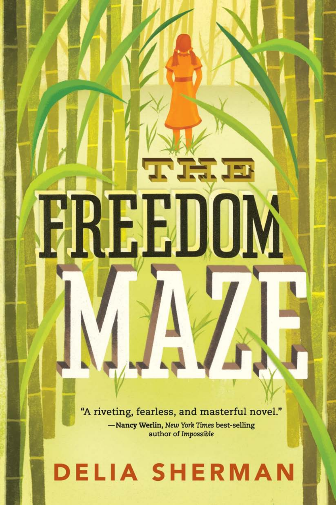"A riveting, fearless, and masterful novel." -Nancy Werlin, New York Times best-selling author of Impossible

JE E DOM

## **DELIA SHERMAN**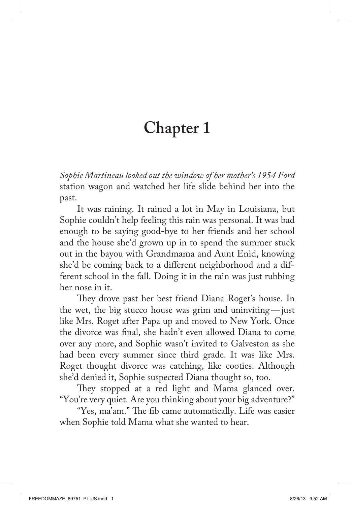## **Chapter 1**

*Sophie Martineau looked out the window of her mother's 1954 Ford*  station wagon and watched her life slide behind her into the past.

It was raining. It rained a lot in May in Louisiana, but Sophie couldn't help feeling this rain was personal. It was bad enough to be saying good-bye to her friends and her school and the house she'd grown up in to spend the summer stuck out in the bayou with Grandmama and Aunt Enid, knowing she'd be coming back to a different neighborhood and a different school in the fall. Doing it in the rain was just rubbing her nose in it.

They drove past her best friend Diana Roget's house. In the wet, the big stucco house was grim and uninviting—just like Mrs. Roget after Papa up and moved to New York. Once the divorce was final, she hadn't even allowed Diana to come over any more, and Sophie wasn't invited to Galveston as she had been every summer since third grade. It was like Mrs. Roget thought divorce was catching, like cooties. Although she'd denied it, Sophie suspected Diana thought so, too.

They stopped at a red light and Mama glanced over. "You're very quiet. Are you thinking about your big adventure?"

"Yes, ma'am." The fib came automatically. Life was easier when Sophie told Mama what she wanted to hear.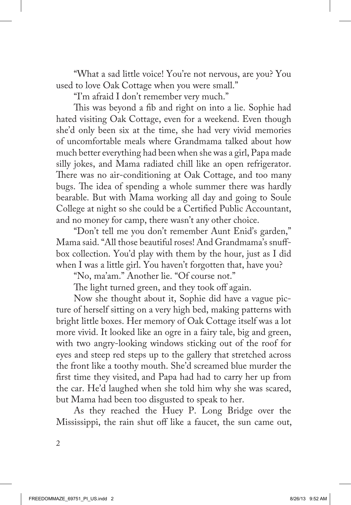"What a sad little voice! You're not nervous, are you? You used to love Oak Cottage when you were small."

"I'm afraid I don't remember very much."

This was beyond a fib and right on into a lie. Sophie had hated visiting Oak Cottage, even for a weekend. Even though she'd only been six at the time, she had very vivid memories of uncomfortable meals where Grandmama talked about how much better everything had been when she was a girl, Papa made silly jokes, and Mama radiated chill like an open refrigerator. There was no air-conditioning at Oak Cottage, and too many bugs. The idea of spending a whole summer there was hardly bearable. But with Mama working all day and going to Soule College at night so she could be a Certified Public Accountant, and no money for camp, there wasn't any other choice.

"Don't tell me you don't remember Aunt Enid's garden," Mama said. "All those beautiful roses! And Grandmama's snuffbox collection. You'd play with them by the hour, just as I did when I was a little girl. You haven't forgotten that, have you?

"No, ma'am." Another lie. "Of course not."

The light turned green, and they took off again.

Now she thought about it, Sophie did have a vague picture of herself sitting on a very high bed, making patterns with bright little boxes. Her memory of Oak Cottage itself was a lot more vivid. It looked like an ogre in a fairy tale, big and green, with two angry-looking windows sticking out of the roof for eyes and steep red steps up to the gallery that stretched across the front like a toothy mouth. She'd screamed blue murder the first time they visited, and Papa had had to carry her up from the car. He'd laughed when she told him why she was scared, but Mama had been too disgusted to speak to her.

As they reached the Huey P. Long Bridge over the Mississippi, the rain shut off like a faucet, the sun came out,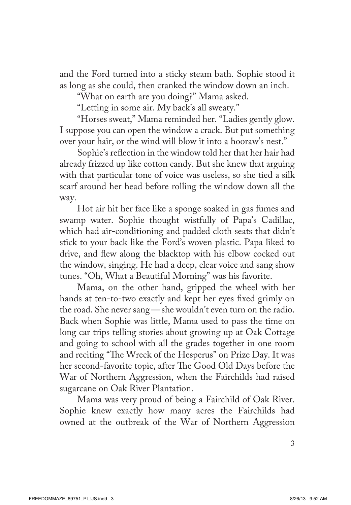and the Ford turned into a sticky steam bath. Sophie stood it as long as she could, then cranked the window down an inch.

"What on earth are you doing?" Mama asked.

"Letting in some air. My back's all sweaty."

"Horses sweat," Mama reminded her. "Ladies gently glow. I suppose you can open the window a crack. But put something over your hair, or the wind will blow it into a hooraw's nest."

Sophie's reflection in the window told her that her hair had already frizzed up like cotton candy. But she knew that arguing with that particular tone of voice was useless, so she tied a silk scarf around her head before rolling the window down all the way.

Hot air hit her face like a sponge soaked in gas fumes and swamp water. Sophie thought wistfully of Papa's Cadillac, which had air-conditioning and padded cloth seats that didn't stick to your back like the Ford's woven plastic. Papa liked to drive, and flew along the blacktop with his elbow cocked out the window, singing. He had a deep, clear voice and sang show tunes. "Oh, What a Beautiful Morning" was his favorite.

Mama, on the other hand, gripped the wheel with her hands at ten-to-two exactly and kept her eyes fixed grimly on the road. She never sang—she wouldn't even turn on the radio. Back when Sophie was little, Mama used to pass the time on long car trips telling stories about growing up at Oak Cottage and going to school with all the grades together in one room and reciting "The Wreck of the Hesperus" on Prize Day. It was her second-favorite topic, after The Good Old Days before the War of Northern Aggression, when the Fairchilds had raised sugarcane on Oak River Plantation.

Mama was very proud of being a Fairchild of Oak River. Sophie knew exactly how many acres the Fairchilds had owned at the outbreak of the War of Northern Aggression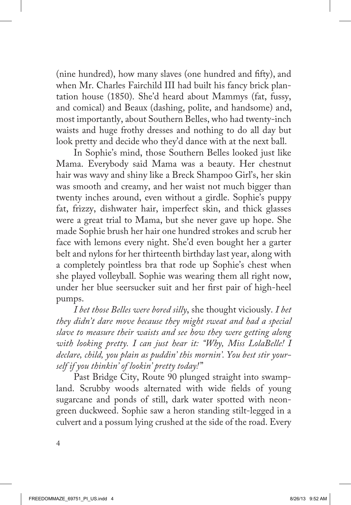(nine hundred), how many slaves (one hundred and fifty), and when Mr. Charles Fairchild III had built his fancy brick plantation house (1850). She'd heard about Mammys (fat, fussy, and comical) and Beaux (dashing, polite, and handsome) and, most importantly, about Southern Belles, who had twenty-inch waists and huge frothy dresses and nothing to do all day but look pretty and decide who they'd dance with at the next ball.

In Sophie's mind, those Southern Belles looked just like Mama. Everybody said Mama was a beauty. Her chestnut hair was wavy and shiny like a Breck Shampoo Girl's, her skin was smooth and creamy, and her waist not much bigger than twenty inches around, even without a girdle. Sophie's puppy fat, frizzy, dishwater hair, imperfect skin, and thick glasses were a great trial to Mama, but she never gave up hope. She made Sophie brush her hair one hundred strokes and scrub her face with lemons every night. She'd even bought her a garter belt and nylons for her thirteenth birthday last year, along with a completely pointless bra that rode up Sophie's chest when she played volleyball. Sophie was wearing them all right now, under her blue seersucker suit and her first pair of high-heel pumps.

*I bet those Belles were bored silly*, she thought viciously. *I bet they didn't dare move because they might sweat and had a special slave to measure their waists and see how they were getting along with looking pretty. I can just hear it: "Why, Miss LolaBelle! I declare, child, you plain as puddin' this mornin'. You best stir yourself if you thinkin' of lookin' pretty today!*"

Past Bridge City, Route 90 plunged straight into swampland. Scrubby woods alternated with wide fields of young sugarcane and ponds of still, dark water spotted with neongreen duckweed. Sophie saw a heron standing stilt-legged in a culvert and a possum lying crushed at the side of the road. Every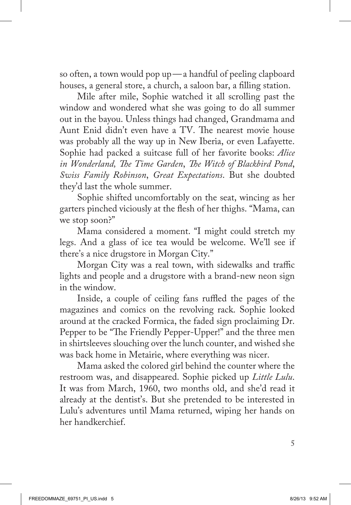so often, a town would pop up—a handful of peeling clapboard houses, a general store, a church, a saloon bar, a filling station.

Mile after mile, Sophie watched it all scrolling past the window and wondered what she was going to do all summer out in the bayou. Unless things had changed, Grandmama and Aunt Enid didn't even have a TV. The nearest movie house was probably all the way up in New Iberia, or even Lafayette. Sophie had packed a suitcase full of her favorite books: *Alice in Wonderland, The Time Garden*, *The Witch of Blackbird Pond*, *Swiss Family Robinson*, *Great Expectations*. But she doubted they'd last the whole summer.

Sophie shifted uncomfortably on the seat, wincing as her garters pinched viciously at the flesh of her thighs. "Mama, can we stop soon?"

Mama considered a moment. "I might could stretch my legs. And a glass of ice tea would be welcome. We'll see if there's a nice drugstore in Morgan City."

Morgan City was a real town, with sidewalks and traffic lights and people and a drugstore with a brand-new neon sign in the window.

Inside, a couple of ceiling fans ruffled the pages of the magazines and comics on the revolving rack. Sophie looked around at the cracked Formica, the faded sign proclaiming Dr. Pepper to be "The Friendly Pepper-Upper!" and the three men in shirtsleeves slouching over the lunch counter, and wished she was back home in Metairie, where everything was nicer.

Mama asked the colored girl behind the counter where the restroom was, and disappeared. Sophie picked up *Little Lulu*. It was from March, 1960, two months old, and she'd read it already at the dentist's. But she pretended to be interested in Lulu's adventures until Mama returned, wiping her hands on her handkerchief.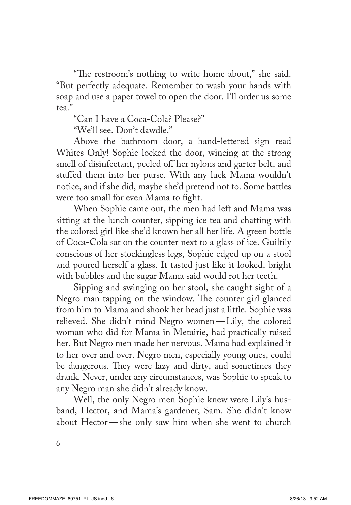"The restroom's nothing to write home about," she said. "But perfectly adequate. Remember to wash your hands with soap and use a paper towel to open the door. I'll order us some tea."

"Can I have a Coca-Cola? Please?"

"We'll see. Don't dawdle."

Above the bathroom door, a hand-lettered sign read Whites Only! Sophie locked the door, wincing at the strong smell of disinfectant, peeled off her nylons and garter belt, and stuffed them into her purse. With any luck Mama wouldn't notice, and if she did, maybe she'd pretend not to. Some battles were too small for even Mama to fight.

When Sophie came out, the men had left and Mama was sitting at the lunch counter, sipping ice tea and chatting with the colored girl like she'd known her all her life. A green bottle of Coca-Cola sat on the counter next to a glass of ice. Guiltily conscious of her stockingless legs, Sophie edged up on a stool and poured herself a glass. It tasted just like it looked, bright with bubbles and the sugar Mama said would rot her teeth.

Sipping and swinging on her stool, she caught sight of a Negro man tapping on the window. The counter girl glanced from him to Mama and shook her head just a little. Sophie was relieved. She didn't mind Negro women—Lily, the colored woman who did for Mama in Metairie, had practically raised her. But Negro men made her nervous. Mama had explained it to her over and over. Negro men, especially young ones, could be dangerous. They were lazy and dirty, and sometimes they drank. Never, under any circumstances, was Sophie to speak to any Negro man she didn't already know.

Well, the only Negro men Sophie knew were Lily's husband, Hector, and Mama's gardener, Sam. She didn't know about Hector—she only saw him when she went to church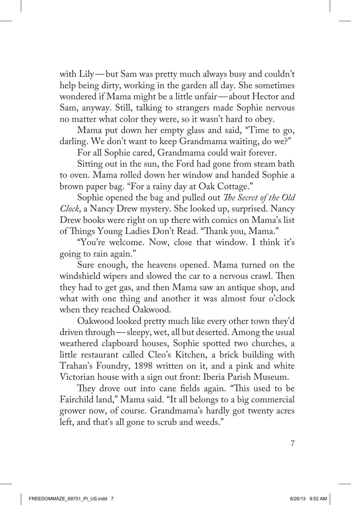with Lily—but Sam was pretty much always busy and couldn't help being dirty, working in the garden all day. She sometimes wondered if Mama might be a little unfair—about Hector and Sam, anyway. Still, talking to strangers made Sophie nervous no matter what color they were, so it wasn't hard to obey.

Mama put down her empty glass and said, "Time to go, darling. We don't want to keep Grandmama waiting, do we?"

For all Sophie cared, Grandmama could wait forever.

Sitting out in the sun, the Ford had gone from steam bath to oven. Mama rolled down her window and handed Sophie a brown paper bag. "For a rainy day at Oak Cottage."

Sophie opened the bag and pulled out *The Secret of the Old Clock*, a Nancy Drew mystery. She looked up, surprised. Nancy Drew books were right on up there with comics on Mama's list of Things Young Ladies Don't Read. "Thank you, Mama."

"You're welcome. Now, close that window. I think it's going to rain again."

Sure enough, the heavens opened. Mama turned on the windshield wipers and slowed the car to a nervous crawl. Then they had to get gas, and then Mama saw an antique shop, and what with one thing and another it was almost four o'clock when they reached Oakwood.

Oakwood looked pretty much like every other town they'd driven through—sleepy, wet, all but deserted. Among the usual weathered clapboard houses, Sophie spotted two churches, a little restaurant called Cleo's Kitchen, a brick building with Trahan's Foundry, 1898 written on it, and a pink and white Victorian house with a sign out front: Iberia Parish Museum.

They drove out into cane fields again. "This used to be Fairchild land," Mama said. "It all belongs to a big commercial grower now, of course. Grandmama's hardly got twenty acres left, and that's all gone to scrub and weeds."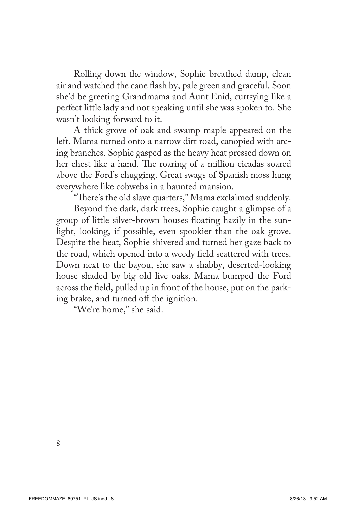Rolling down the window, Sophie breathed damp, clean air and watched the cane flash by, pale green and graceful. Soon she'd be greeting Grandmama and Aunt Enid, curtsying like a perfect little lady and not speaking until she was spoken to. She wasn't looking forward to it.

A thick grove of oak and swamp maple appeared on the left. Mama turned onto a narrow dirt road, canopied with arcing branches. Sophie gasped as the heavy heat pressed down on her chest like a hand. The roaring of a million cicadas soared above the Ford's chugging. Great swags of Spanish moss hung everywhere like cobwebs in a haunted mansion.

"There's the old slave quarters," Mama exclaimed suddenly.

Beyond the dark, dark trees, Sophie caught a glimpse of a group of little silver-brown houses floating hazily in the sunlight, looking, if possible, even spookier than the oak grove. Despite the heat, Sophie shivered and turned her gaze back to the road, which opened into a weedy field scattered with trees. Down next to the bayou, she saw a shabby, deserted-looking house shaded by big old live oaks. Mama bumped the Ford across the field, pulled up in front of the house, put on the parking brake, and turned off the ignition.

"We're home," she said.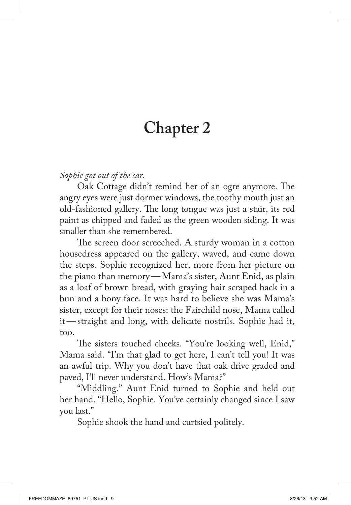## **Chapter 2**

## *Sophie got out of the car.*

Oak Cottage didn't remind her of an ogre anymore. The angry eyes were just dormer windows, the toothy mouth just an old-fashioned gallery. The long tongue was just a stair, its red paint as chipped and faded as the green wooden siding. It was smaller than she remembered.

The screen door screeched. A sturdy woman in a cotton housedress appeared on the gallery, waved, and came down the steps. Sophie recognized her, more from her picture on the piano than memory—Mama's sister, Aunt Enid, as plain as a loaf of brown bread, with graying hair scraped back in a bun and a bony face. It was hard to believe she was Mama's sister, except for their noses: the Fairchild nose, Mama called it—straight and long, with delicate nostrils. Sophie had it, too.

The sisters touched cheeks. "You're looking well, Enid," Mama said. "I'm that glad to get here, I can't tell you! It was an awful trip. Why you don't have that oak drive graded and paved, I'll never understand. How's Mama?"

"Middling." Aunt Enid turned to Sophie and held out her hand. "Hello, Sophie. You've certainly changed since I saw you last."

Sophie shook the hand and curtsied politely.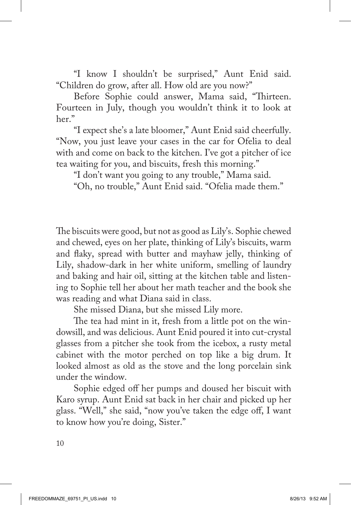"I know I shouldn't be surprised," Aunt Enid said. "Children do grow, after all. How old are you now?"

Before Sophie could answer, Mama said, "Thirteen. Fourteen in July, though you wouldn't think it to look at her."

"I expect she's a late bloomer," Aunt Enid said cheerfully. "Now, you just leave your cases in the car for Ofelia to deal with and come on back to the kitchen. I've got a pitcher of ice tea waiting for you, and biscuits, fresh this morning."

"I don't want you going to any trouble," Mama said.

"Oh, no trouble," Aunt Enid said. "Ofelia made them."

The biscuits were good, but not as good as Lily's. Sophie chewed and chewed, eyes on her plate, thinking of Lily's biscuits, warm and flaky, spread with butter and mayhaw jelly, thinking of Lily, shadow-dark in her white uniform, smelling of laundry and baking and hair oil, sitting at the kitchen table and listening to Sophie tell her about her math teacher and the book she was reading and what Diana said in class.

She missed Diana, but she missed Lily more.

The tea had mint in it, fresh from a little pot on the windowsill, and was delicious. Aunt Enid poured it into cut-crystal glasses from a pitcher she took from the icebox, a rusty metal cabinet with the motor perched on top like a big drum. It looked almost as old as the stove and the long porcelain sink under the window.

Sophie edged off her pumps and doused her biscuit with Karo syrup. Aunt Enid sat back in her chair and picked up her glass. "Well," she said, "now you've taken the edge off, I want to know how you're doing, Sister."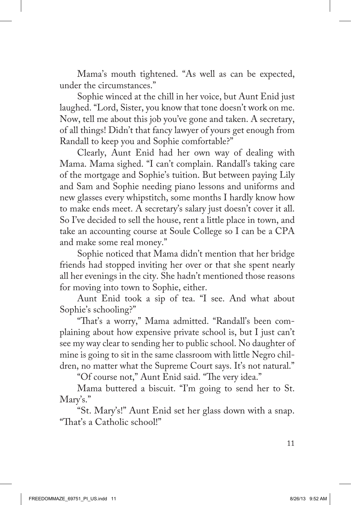Mama's mouth tightened. "As well as can be expected, under the circumstances."

Sophie winced at the chill in her voice, but Aunt Enid just laughed. "Lord, Sister, you know that tone doesn't work on me. Now, tell me about this job you've gone and taken. A secretary, of all things! Didn't that fancy lawyer of yours get enough from Randall to keep you and Sophie comfortable?"

Clearly, Aunt Enid had her own way of dealing with Mama. Mama sighed. "I can't complain. Randall's taking care of the mortgage and Sophie's tuition. But between paying Lily and Sam and Sophie needing piano lessons and uniforms and new glasses every whipstitch, some months I hardly know how to make ends meet. A secretary's salary just doesn't cover it all. So I've decided to sell the house, rent a little place in town, and take an accounting course at Soule College so I can be a CPA and make some real money."

Sophie noticed that Mama didn't mention that her bridge friends had stopped inviting her over or that she spent nearly all her evenings in the city. She hadn't mentioned those reasons for moving into town to Sophie, either.

Aunt Enid took a sip of tea. "I see. And what about Sophie's schooling?"

"That's a worry," Mama admitted. "Randall's been complaining about how expensive private school is, but I just can't see my way clear to sending her to public school. No daughter of mine is going to sit in the same classroom with little Negro children, no matter what the Supreme Court says. It's not natural."

"Of course not," Aunt Enid said. "The very idea."

Mama buttered a biscuit. "I'm going to send her to St. Mary's."

"St. Mary's!" Aunt Enid set her glass down with a snap. "That's a Catholic school!"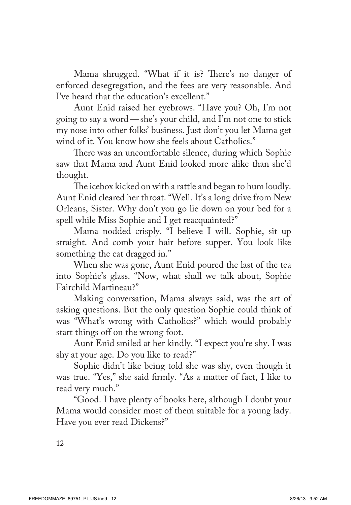Mama shrugged. "What if it is? There's no danger of enforced desegregation, and the fees are very reasonable. And I've heard that the education's excellent."

Aunt Enid raised her eyebrows. "Have you? Oh, I'm not going to say a word—she's your child, and I'm not one to stick my nose into other folks' business. Just don't you let Mama get wind of it. You know how she feels about Catholics."

There was an uncomfortable silence, during which Sophie saw that Mama and Aunt Enid looked more alike than she'd thought.

The icebox kicked on with a rattle and began to hum loudly. Aunt Enid cleared her throat. "Well. It's a long drive from New Orleans, Sister. Why don't you go lie down on your bed for a spell while Miss Sophie and I get reacquainted?"

Mama nodded crisply. "I believe I will. Sophie, sit up straight. And comb your hair before supper. You look like something the cat dragged in."

When she was gone, Aunt Enid poured the last of the tea into Sophie's glass. "Now, what shall we talk about, Sophie Fairchild Martineau?"

Making conversation, Mama always said, was the art of asking questions. But the only question Sophie could think of was "What's wrong with Catholics?" which would probably start things off on the wrong foot.

Aunt Enid smiled at her kindly. "I expect you're shy. I was shy at your age. Do you like to read?"

Sophie didn't like being told she was shy, even though it was true. "Yes," she said firmly. "As a matter of fact, I like to read very much."

"Good. I have plenty of books here, although I doubt your Mama would consider most of them suitable for a young lady. Have you ever read Dickens?"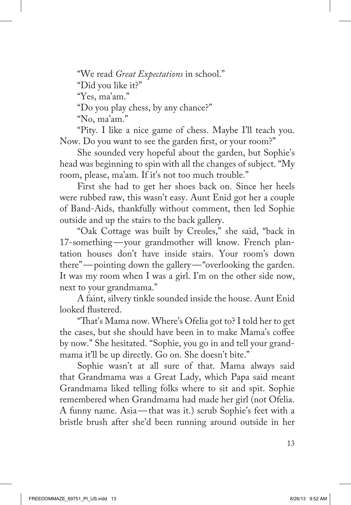"We read *Great Expectations* in school." "Did you like it?" "Yes, ma'am." "Do you play chess, by any chance?"

"No, ma'am."

"Pity. I like a nice game of chess. Maybe I'll teach you. Now. Do you want to see the garden first, or your room?"

She sounded very hopeful about the garden, but Sophie's head was beginning to spin with all the changes of subject. "My room, please, ma'am. If it's not too much trouble."

First she had to get her shoes back on. Since her heels were rubbed raw, this wasn't easy. Aunt Enid got her a couple of Band-Aids, thankfully without comment, then led Sophie outside and up the stairs to the back gallery.

"Oak Cottage was built by Creoles," she said, "back in 17-something—your grandmother will know. French plantation houses don't have inside stairs. Your room's down there"—pointing down the gallery—"overlooking the garden. It was my room when I was a girl. I'm on the other side now, next to your grandmama."

A faint, silvery tinkle sounded inside the house. Aunt Enid looked flustered.

"That's Mama now. Where's Ofelia got to? I told her to get the cases, but she should have been in to make Mama's coffee by now." She hesitated. "Sophie, you go in and tell your grandmama it'll be up directly. Go on. She doesn't bite."

Sophie wasn't at all sure of that. Mama always said that Grandmama was a Great Lady, which Papa said meant Grandmama liked telling folks where to sit and spit. Sophie remembered when Grandmama had made her girl (not Ofelia. A funny name. Asia—that was it.) scrub Sophie's feet with a bristle brush after she'd been running around outside in her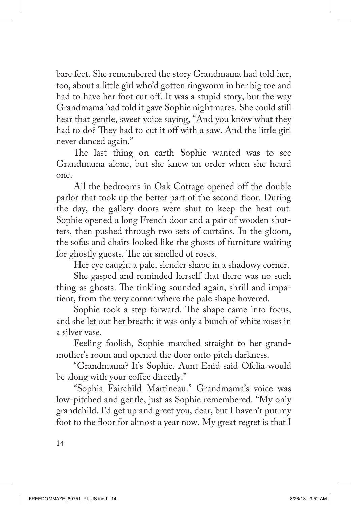bare feet. She remembered the story Grandmama had told her, too, about a little girl who'd gotten ringworm in her big toe and had to have her foot cut off. It was a stupid story, but the way Grandmama had told it gave Sophie nightmares. She could still hear that gentle, sweet voice saying, "And you know what they had to do? They had to cut it off with a saw. And the little girl never danced again."

The last thing on earth Sophie wanted was to see Grandmama alone, but she knew an order when she heard one.

All the bedrooms in Oak Cottage opened off the double parlor that took up the better part of the second floor. During the day, the gallery doors were shut to keep the heat out. Sophie opened a long French door and a pair of wooden shutters, then pushed through two sets of curtains. In the gloom, the sofas and chairs looked like the ghosts of furniture waiting for ghostly guests. The air smelled of roses.

Her eye caught a pale, slender shape in a shadowy corner.

She gasped and reminded herself that there was no such thing as ghosts. The tinkling sounded again, shrill and impatient, from the very corner where the pale shape hovered.

Sophie took a step forward. The shape came into focus, and she let out her breath: it was only a bunch of white roses in a silver vase.

Feeling foolish, Sophie marched straight to her grandmother's room and opened the door onto pitch darkness.

"Grandmama? It's Sophie. Aunt Enid said Ofelia would be along with your coffee directly."

"Sophia Fairchild Martineau." Grandmama's voice was low-pitched and gentle, just as Sophie remembered. "My only grandchild. I'd get up and greet you, dear, but I haven't put my foot to the floor for almost a year now. My great regret is that I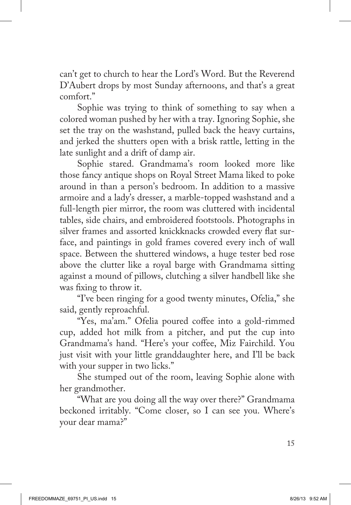can't get to church to hear the Lord's Word. But the Reverend D'Aubert drops by most Sunday afternoons, and that's a great comfort."

Sophie was trying to think of something to say when a colored woman pushed by her with a tray. Ignoring Sophie, she set the tray on the washstand, pulled back the heavy curtains, and jerked the shutters open with a brisk rattle, letting in the late sunlight and a drift of damp air.

Sophie stared. Grandmama's room looked more like those fancy antique shops on Royal Street Mama liked to poke around in than a person's bedroom. In addition to a massive armoire and a lady's dresser, a marble-topped washstand and a full-length pier mirror, the room was cluttered with incidental tables, side chairs, and embroidered footstools. Photographs in silver frames and assorted knickknacks crowded every flat surface, and paintings in gold frames covered every inch of wall space. Between the shuttered windows, a huge tester bed rose above the clutter like a royal barge with Grandmama sitting against a mound of pillows, clutching a silver handbell like she was fixing to throw it.

"I've been ringing for a good twenty minutes, Ofelia," she said, gently reproachful.

"Yes, ma'am." Ofelia poured coffee into a gold-rimmed cup, added hot milk from a pitcher, and put the cup into Grandmama's hand. "Here's your coffee, Miz Fairchild. You just visit with your little granddaughter here, and I'll be back with your supper in two licks."

She stumped out of the room, leaving Sophie alone with her grandmother.

"What are you doing all the way over there?" Grandmama beckoned irritably. "Come closer, so I can see you. Where's your dear mama?"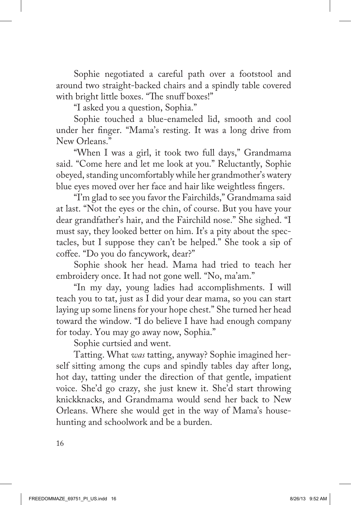Sophie negotiated a careful path over a footstool and around two straight-backed chairs and a spindly table covered with bright little boxes. "The snuff boxes!"

"I asked you a question, Sophia."

Sophie touched a blue-enameled lid, smooth and cool under her finger. "Mama's resting. It was a long drive from New Orleans."

"When I was a girl, it took two full days," Grandmama said. "Come here and let me look at you." Reluctantly, Sophie obeyed, standing uncomfortably while her grandmother's watery blue eyes moved over her face and hair like weightless fingers.

"I'm glad to see you favor the Fairchilds," Grandmama said at last. "Not the eyes or the chin, of course. But you have your dear grandfather's hair, and the Fairchild nose." She sighed. "I must say, they looked better on him. It's a pity about the spectacles, but I suppose they can't be helped." She took a sip of coffee. "Do you do fancywork, dear?"

Sophie shook her head. Mama had tried to teach her embroidery once. It had not gone well. "No, ma'am."

"In my day, young ladies had accomplishments. I will teach you to tat, just as I did your dear mama, so you can start laying up some linens for your hope chest." She turned her head toward the window. "I do believe I have had enough company for today. You may go away now, Sophia."

Sophie curtsied and went.

Tatting. What *was* tatting, anyway? Sophie imagined herself sitting among the cups and spindly tables day after long, hot day, tatting under the direction of that gentle, impatient voice. She'd go crazy, she just knew it. She'd start throwing knickknacks, and Grandmama would send her back to New Orleans. Where she would get in the way of Mama's househunting and schoolwork and be a burden.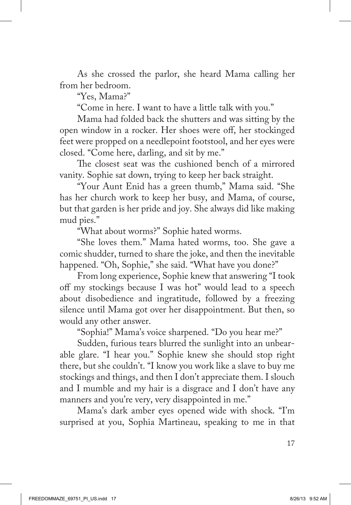As she crossed the parlor, she heard Mama calling her from her bedroom.

"Yes, Mama?"

"Come in here. I want to have a little talk with you."

Mama had folded back the shutters and was sitting by the open window in a rocker. Her shoes were off, her stockinged feet were propped on a needlepoint footstool, and her eyes were closed. "Come here, darling, and sit by me."

The closest seat was the cushioned bench of a mirrored vanity. Sophie sat down, trying to keep her back straight.

"Your Aunt Enid has a green thumb," Mama said. "She has her church work to keep her busy, and Mama, of course, but that garden is her pride and joy. She always did like making mud pies."

"What about worms?" Sophie hated worms.

"She loves them." Mama hated worms, too. She gave a comic shudder, turned to share the joke, and then the inevitable happened. "Oh, Sophie," she said. "What have you done?"

From long experience, Sophie knew that answering "I took off my stockings because I was hot" would lead to a speech about disobedience and ingratitude, followed by a freezing silence until Mama got over her disappointment. But then, so would any other answer.

"Sophia!" Mama's voice sharpened. "Do you hear me?"

Sudden, furious tears blurred the sunlight into an unbearable glare. "I hear you." Sophie knew she should stop right there, but she couldn't. "I know you work like a slave to buy me stockings and things, and then I don't appreciate them. I slouch and I mumble and my hair is a disgrace and I don't have any manners and you're very, very disappointed in me."

Mama's dark amber eyes opened wide with shock. "I'm surprised at you, Sophia Martineau, speaking to me in that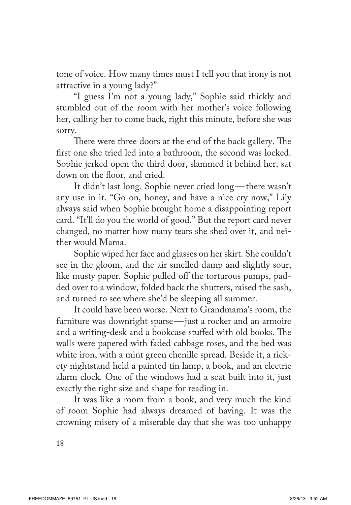tone of voice. How many times must I tell you that irony is not attractive in a young lady?"

"I guess I'm not a young lady," Sophie said thickly and stumbled out of the room with her mother's voice following her, calling her to come back, right this minute, before she was sorry.

There were three doors at the end of the back gallery. The first one she tried led into a bathroom, the second was locked. Sophie jerked open the third door, slammed it behind her, sat down on the floor, and cried.

It didn't last long. Sophie never cried long—there wasn't any use in it. "Go on, honey, and have a nice cry now," Lily always said when Sophie brought home a disappointing report card. "It'll do you the world of good." But the report card never changed, no matter how many tears she shed over it, and neither would Mama.

Sophie wiped her face and glasses on her skirt. She couldn't see in the gloom, and the air smelled damp and slightly sour, like musty paper. Sophie pulled off the torturous pumps, padded over to a window, folded back the shutters, raised the sash, and turned to see where she'd be sleeping all summer.

It could have been worse. Next to Grandmama's room, the furniture was downright sparse—just a rocker and an armoire and a writing-desk and a bookcase stuffed with old books. The walls were papered with faded cabbage roses, and the bed was white iron, with a mint green chenille spread. Beside it, a rickety nightstand held a painted tin lamp, a book, and an electric alarm clock. One of the windows had a seat built into it, just exactly the right size and shape for reading in.

It was like a room from a book, and very much the kind of room Sophie had always dreamed of having. It was the crowning misery of a miserable day that she was too unhappy